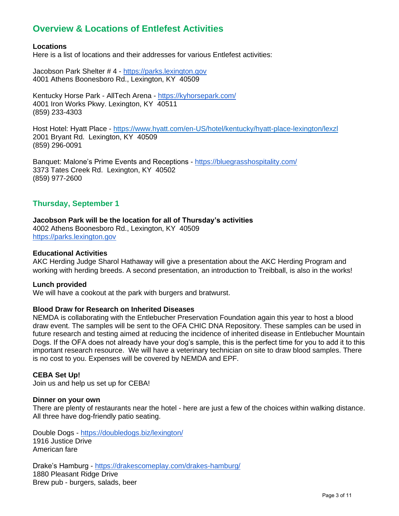# **Overview & Locations of Entlefest Activities**

#### **Locations**

Here is a list of locations and their addresses for various Entlefest activities:

Jacobson Park Shelter # 4 - [https://parks.lexington.gov](https://parks.lexington.gov/)  4001 Athens Boonesboro Rd., Lexington, KY 40509

Kentucky Horse Park - AllTech Arena - <https://kyhorsepark.com/> 4001 Iron Works Pkwy. Lexington, KY 40511 (859) 233-4303

Host Hotel: Hyatt Place - <https://www.hyatt.com/en-US/hotel/kentucky/hyatt-place-lexington/lexzl> 2001 Bryant Rd. Lexington, KY 40509 (859) 296-0091

Banquet: Malone's Prime Events and Receptions - <https://bluegrasshospitality.com/> 3373 Tates Creek Rd. Lexington, KY 40502 (859) 977-2600

# **Thursday, September 1**

#### **Jacobson Park will be the location for all of Thursday's activities**

4002 Athens Boonesboro Rd., Lexington, KY 40509 [https://parks.lexington.gov](https://parks.lexington.gov/)

#### **Educational Activities**

AKC Herding Judge Sharol Hathaway will give a presentation about the AKC Herding Program and working with herding breeds. A second presentation, an introduction to Treibball, is also in the works!

#### **Lunch provided**

We will have a cookout at the park with burgers and bratwurst.

#### **Blood Draw for Research on Inherited Diseases**

NEMDA is collaborating with the Entlebucher Preservation Foundation again this year to host a blood draw event. The samples will be sent to the OFA CHIC DNA Repository. These samples can be used in future research and testing aimed at reducing the incidence of inherited disease in Entlebucher Mountain Dogs. If the OFA does not already have your dog's sample, this is the perfect time for you to add it to this important research resource. We will have a veterinary technician on site to draw blood samples. There is no cost to you. Expenses will be covered by NEMDA and EPF.

#### **CEBA Set Up!**

Join us and help us set up for CEBA!

#### **Dinner on your own**

There are plenty of restaurants near the hotel - here are just a few of the choices within walking distance. All three have dog-friendly patio seating.

Double Dogs - <https://doubledogs.biz/lexington/> 1916 Justice Drive American fare

Drake's Hamburg - <https://drakescomeplay.com/drakes-hamburg/> 1880 Pleasant Ridge Drive Brew pub - burgers, salads, beer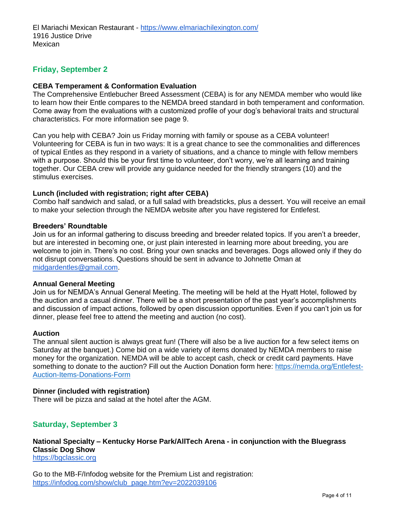# **Friday, September 2**

#### **CEBA Temperament & Conformation Evaluation**

The Comprehensive Entlebucher Breed Assessment (CEBA) is for any NEMDA member who would like to learn how their Entle compares to the NEMDA breed standard in both temperament and conformation. Come away from the evaluations with a customized profile of your dog's behavioral traits and structural characteristics. For more information see page 9.

Can you help with CEBA? Join us Friday morning with family or spouse as a CEBA volunteer! Volunteering for CEBA is fun in two ways: It is a great chance to see the commonalities and differences of typical Entles as they respond in a variety of situations, and a chance to mingle with fellow members with a purpose. Should this be your first time to volunteer, don't worry, we're all learning and training together. Our CEBA crew will provide any guidance needed for the friendly strangers (10) and the stimulus exercises.

#### **Lunch (included with registration; right after CEBA)**

Combo half sandwich and salad, or a full salad with breadsticks, plus a dessert. You will receive an email to make your selection through the NEMDA website after you have registered for Entlefest.

#### **Breeders' Roundtable**

Join us for an informal gathering to discuss breeding and breeder related topics. If you aren't a breeder, but are interested in becoming one, or just plain interested in learning more about breeding, you are welcome to join in. There's no cost. Bring your own snacks and beverages. Dogs allowed only if they do not disrupt conversations. Questions should be sent in advance to Johnette Oman at [midgardentles@gmail.com.](mailto:midgardentles@gmail.com)

#### **Annual General Meeting**

Join us for NEMDA's Annual General Meeting. The meeting will be held at the Hyatt Hotel, followed by the auction and a casual dinner. There will be a short presentation of the past year's accomplishments and discussion of impact actions, followed by open discussion opportunities. Even if you can't join us for dinner, please feel free to attend the meeting and auction (no cost).

#### **Auction**

The annual silent auction is always great fun! (There will also be a live auction for a few select items on Saturday at the banquet.) Come bid on a wide variety of items donated by NEMDA members to raise money for the organization. NEMDA will be able to accept cash, check or credit card payments. Have something to donate to the auction? Fill out the Auction Donation form here: [https://nemda.org/Entlefest-](https://nemda.org/Entlefest-Auction-Items-Donations-Form)[Auction-Items-Donations-Form](https://nemda.org/Entlefest-Auction-Items-Donations-Form)

#### **Dinner (included with registration)**

There will be pizza and salad at the hotel after the AGM.

### **Saturday, September 3**

**National Specialty – Kentucky Horse Park/AllTech Arena - in conjunction with the Bluegrass Classic Dog Show** [https://bgclassic.org](https://bgclassic.org/)

Go to the MB-F/Infodog website for the Premium List and registration: [https://infodog.com/show/club\\_page.htm?ev=2022039106](https://infodog.com/show/club_page.htm?ev=2022039106)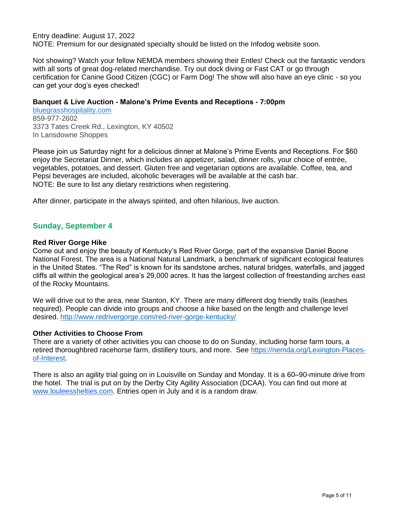Entry deadline: August 17, 2022

NOTE: Premium for our designated specialty should be listed on the Infodog website soon.

Not showing? Watch your fellow NEMDA members showing their Entles! Check out the fantastic vendors with all sorts of great dog-related merchandise. Try out dock diving or Fast CAT or go through certification for Canine Good Citizen (CGC) or Farm Dog! The show will also have an eye clinic - so you can get your dog's eyes checked!

#### **Banquet & Live Auction - Malone's Prime Events and Receptions - 7:00pm**

[bluegrasshospitality.com](http://bluegrasshospitality.com/) 859-977-2602 3373 Tates Creek Rd., Lexington, KY 40502 In Lansdowne Shoppes

Please join us Saturday night for a delicious dinner at Malone's Prime Events and Receptions. For \$60 enjoy the Secretariat Dinner, which includes an appetizer, salad, dinner rolls, your choice of entrée, vegetables, potatoes, and dessert. Gluten free and vegetarian options are available. Coffee, tea, and Pepsi beverages are included, alcoholic beverages will be available at the cash bar. NOTE: Be sure to list any dietary restrictions when registering.

After dinner, participate in the always spirited, and often hilarious, live auction.

# **Sunday, September 4**

#### **Red River Gorge Hike**

Come out and enjoy the beauty of Kentucky's Red River Gorge, part of the expansive Daniel Boone National Forest. The area is a National Natural Landmark, a benchmark of significant ecological features in the United States. "The Red" is known for its sandstone arches, natural bridges, waterfalls, and jagged cliffs all within the geological area's 29,000 acres. It has the largest collection of freestanding arches east of the Rocky Mountains.

We will drive out to the area, near Stanton, KY. There are many different dog friendly trails (leashes required). People can divide into groups and choose a hike based on the length and challenge level desired. <http://www.redrivergorge.com/red-river-gorge-kentucky/>

### **Other Activities to Choose From**

There are a variety of other activities you can choose to do on Sunday, including horse farm tours, a retired thoroughbred racehorse farm, distillery tours, and more. See [https://nemda.org/Lexington-Places](https://nemda.org/Lexington-Places-of-Interest)[of-Interest.](https://nemda.org/Lexington-Places-of-Interest)

There is also an agility trial going on in Louisville on Sunday and Monday. It is a 60–90-minute drive from the hotel. The trial is put on by the Derby City Agility Association (DCAA). You can find out more a[t](http://www.louleesshelties.com/) [www.louleesshelties.com.](http://www.louleesshelties.com/) Entries open in July and it is a random draw.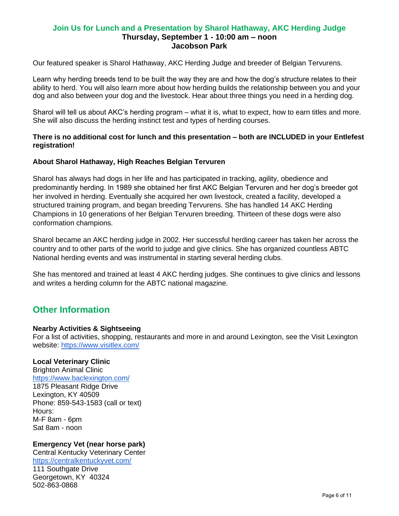# **Join Us for Lunch and a Presentation by Sharol Hathaway, AKC Herding Judge Thursday, September 1 - 10:00 am – noon Jacobson Park**

Our featured speaker is Sharol Hathaway, AKC Herding Judge and breeder of Belgian Tervurens.

Learn why herding breeds tend to be built the way they are and how the dog's structure relates to their ability to herd. You will also learn more about how herding builds the relationship between you and your dog and also between your dog and the livestock. Hear about three things you need in a herding dog.

Sharol will tell us about AKC's herding program – what it is, what to expect, how to earn titles and more. She will also discuss the herding instinct test and types of herding courses.

#### **There is no additional cost for lunch and this presentation – both are INCLUDED in your Entlefest registration!**

# **About Sharol Hathaway, High Reaches Belgian Tervuren**

Sharol has always had dogs in her life and has participated in tracking, agility, obedience and predominantly herding. In 1989 she obtained her first AKC Belgian Tervuren and her dog's breeder got her involved in herding. Eventually she acquired her own livestock, created a facility, developed a structured training program, and began breeding Tervurens. She has handled 14 AKC Herding Champions in 10 generations of her Belgian Tervuren breeding. Thirteen of these dogs were also conformation champions.

Sharol became an AKC herding judge in 2002. Her successful herding career has taken her across the country and to other parts of the world to judge and give clinics. She has organized countless ABTC National herding events and was instrumental in starting several herding clubs.

She has mentored and trained at least 4 AKC herding judges. She continues to give clinics and lessons and writes a herding column for the ABTC national magazine.

# **Other Information**

#### **Nearby Activities & Sightseeing**

For a list of activities, shopping, restaurants and more in and around Lexington, see the Visit Lexington website:<https://www.visitlex.com/>

### **Local Veterinary Clinic**

Brighton Animal Clinic <https://www.baclexington.com/> 1875 Pleasant Ridge Drive Lexington, KY 40509 Phone: 859-543-1583 (call or text) Hours: M-F 8am - 6pm Sat 8am - noon

### **Emergency Vet (near horse park)**

Central Kentucky Veterinary Center <https://centralkentuckyvet.com/> 111 Southgate Drive Georgetown, KY 40324 502-863-0868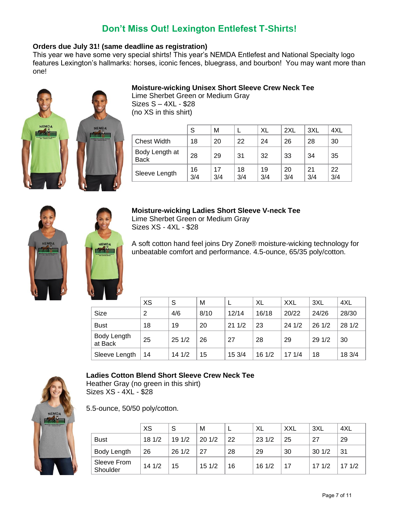# **Don't Miss Out! Lexington Entlefest T-Shirts!**

## **Orders due July 31! (same deadline as registration)**

This year we have some very special shirts! This year's NEMDA Entlefest and National Specialty logo features Lexington's hallmarks: horses, iconic fences, bluegrass, and bourbon! You may want more than one!



# **Moisture-wicking Unisex Short Sleeve Crew Neck Tee**

Lime Sherbet Green or Medium Gray Sizes S – 4XL - \$28 (no XS in this shirt)

|                               | S         | М         |           | XL        | 2XL       | 3XL       | 4XL       |
|-------------------------------|-----------|-----------|-----------|-----------|-----------|-----------|-----------|
| <b>Chest Width</b>            | 18        | 20        | 22        | 24        | 26        | 28        | 30        |
| Body Length at<br><b>Back</b> | 28        | 29        | 31        | 32        | 33        | 34        | 35        |
| Sleeve Length                 | 16<br>3/4 | 17<br>3/4 | 18<br>3/4 | 19<br>3/4 | 20<br>3/4 | 21<br>3/4 | 22<br>3/4 |





#### **Moisture-wicking Ladies Short Sleeve V-neck Tee**  Lime Sherbet Green or Medium Gray

Sizes XS - 4XL - \$28

A soft cotton hand feel joins Dry Zone® moisture-wicking technology for unbeatable comfort and performance. 4.5-ounce, 65/35 poly/cotton.

|                        | <b>XS</b> | S      | М    |        | XL    | XXL   | 3XL    | 4XL    |
|------------------------|-----------|--------|------|--------|-------|-------|--------|--------|
| Size                   | 2         | 4/6    | 8/10 | 12/14  | 16/18 | 20/22 | 24/26  | 28/30  |
| <b>Bust</b>            | 18        | 19     | 20   | 211/2  | 23    | 241/2 | 261/2  | 28 1/2 |
| Body Length<br>at Back | 25        | 251/2  | 26   | 27     | 28    | 29    | 29 1/2 | 30     |
| Sleeve Length          | 14        | 14 1/2 | 15   | 15 3/4 | 161/2 | 171/4 | 18     | 18 3/4 |



### **Ladies Cotton Blend Short Sleeve Crew Neck Tee**

Heather Gray (no green in this shirt) Sizes XS - 4XL - \$28

5.5-ounce, 50/50 poly/cotton.

|                         | <b>XS</b> | S     | м     |    | XL    | <b>XXL</b> | 3XL   | 4XL   |
|-------------------------|-----------|-------|-------|----|-------|------------|-------|-------|
| <b>Bust</b>             | 181/2     | 191/2 | 201/2 | 22 | 231/2 | 25         | 27    | 29    |
| Body Length             | 26        | 261/2 | 27    | 28 | 29    | 30         | 301/2 | 31    |
| Sleeve From<br>Shoulder | 141/2     | 15    | 151/2 | 16 | 161/2 | 17         | 171/2 | 171/2 |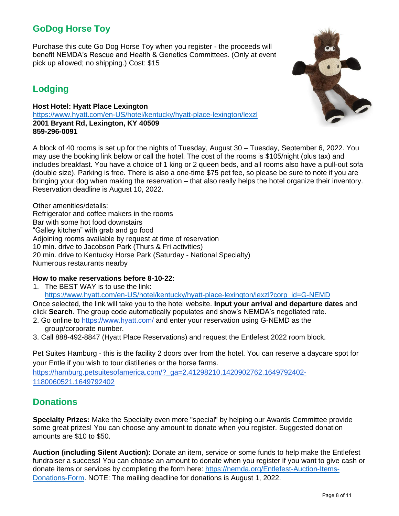# **GoDog Horse Toy**

Purchase this cute Go Dog Horse Toy when you register - the proceeds will benefit NEMDA's Rescue and Health & Genetics Committees. (Only at event pick up allowed; no shipping.) Cost: \$15

# **Lodging**

**Host Hotel: Hyatt Place Lexington**  <https://www.hyatt.com/en-US/hotel/kentucky/hyatt-place-lexington/lexzl> **2001 Bryant Rd, Lexington, KY 40509 859-296-0091**

A block of 40 rooms is set up for the nights of Tuesday, August 30 – Tuesday, September 6, 2022. You may use the booking link below or call the hotel. The cost of the rooms is \$105/night (plus tax) and includes breakfast. You have a choice of 1 king or 2 queen beds, and all rooms also have a pull-out sofa (double size). Parking is free. There is also a one-time \$75 pet fee, so please be sure to note if you are bringing your dog when making the reservation – that also really helps the hotel organize their inventory. Reservation deadline is August 10, 2022.

Other amenities/details: Refrigerator and coffee makers in the rooms Bar with some hot food downstairs "Galley kitchen" with grab and go food Adjoining rooms available by request at time of reservation 10 min. drive to Jacobson Park (Thurs & Fri activities) 20 min. drive to Kentucky Horse Park (Saturday - National Specialty) Numerous restaurants nearby

### **How to make reservations before 8-10-22:**

1. The BEST WAY is to use the link:

[https://www.hyatt.com/en-US/hotel/kentucky/hyatt-place-lexington/lexzl?corp\\_id=G-NEMD](https://www.hyatt.com/en-US/hotel/kentucky/hyatt-place-lexington/lexzl?corp_id=G-NEMD)

Once selected, the link will take you to the hotel website. **Input your arrival and departure dates** and click **Search**. The group code automatically populates and show's NEMDA's negotiated rate.

- 2. Go online to<https://www.hyatt.com/> and enter your reservation using G-NEMD as the group/corporate number.
- 3. Call 888-492-8847 (Hyatt Place Reservations) and request the Entlefest 2022 room block.

Pet Suites Hamburg - this is the facility 2 doors over from the hotel. You can reserve a daycare spot for your Entle if you wish to tour distilleries or the horse farms.

[https://hamburg.petsuitesofamerica.com/?\\_ga=2.41298210.1420902762.1649792402-](https://hamburg.petsuitesofamerica.com/?_ga=2.41298210.1420902762.1649792402-1180060521.1649792402) [1180060521.1649792402](https://hamburg.petsuitesofamerica.com/?_ga=2.41298210.1420902762.1649792402-1180060521.1649792402)

# **Donations**

**Specialty Prizes:** Make the Specialty even more "special" by helping our Awards Committee provide some great prizes! You can choose any amount to donate when you register. Suggested donation amounts are \$10 to \$50.

**Auction (including Silent Auction):** Donate an item, service or some funds to help make the Entlefest fundraiser a success! You can choose an amount to donate when you register if you want to give cash or donate items or services by completing the form here: [https://nemda.org/Entlefest-Auction-Items-](https://nemda.org/Entlefest-Auction-Items-Donations-Form)[Donations-Form.](https://nemda.org/Entlefest-Auction-Items-Donations-Form) NOTE: The mailing deadline for donations is August 1, 2022.

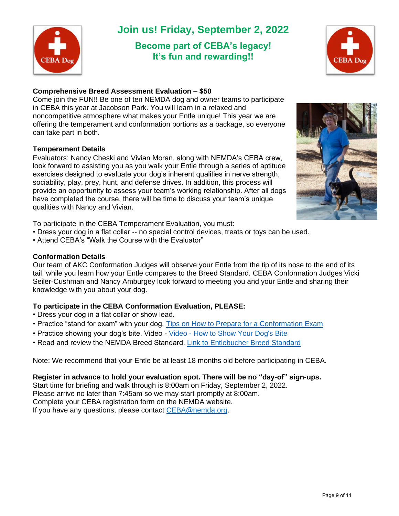

# **Join us! Friday, September 2, 2022**

# **Become part of CEBA's legacy! It's fun and rewarding!!**



# **Comprehensive Breed Assessment Evaluation – \$50**

Come join the FUN!! Be one of ten NEMDA dog and owner teams to participate in CEBA this year at Jacobson Park. You will learn in a relaxed and noncompetitive atmosphere what makes your Entle unique! This year we are offering the temperament and conformation portions as a package, so everyone can take part in both.

# **Temperament Details**

Evaluators: Nancy Cheski and Vivian Moran, along with NEMDA's CEBA crew, look forward to assisting you as you walk your Entle through a series of aptitude exercises designed to evaluate your dog's inherent qualities in nerve strength, sociability, play, prey, hunt, and defense drives. In addition, this process will provide an opportunity to assess your team's working relationship. After all dogs have completed the course, there will be time to discuss your team's unique qualities with Nancy and Vivian.

To participate in the CEBA Temperament Evaluation, you must:

- Dress your dog in a flat collar -- no special control devices, treats or toys can be used.
- Attend CEBA's "Walk the Course with the Evaluator"

### **Conformation Details**

Our team of AKC Conformation Judges will observe your Entle from the tip of its nose to the end of its tail, while you learn how your Entle compares to the Breed Standard. CEBA Conformation Judges Vicki Seiler-Cushman and Nancy Amburgey look forward to meeting you and your Entle and sharing their knowledge with you about your dog.

# **To participate in the CEBA Conformation Evaluation, PLEASE:**

- Dress your dog in a flat collar or show lead.
- Practice "stand for exam" with your dog. [Tips on How to Prepare for a Conformation Exam](https://dogcare.dailypuppy.com/teach-dog-show-dog-1678.html)
- Practice showing your dog's bite. Video Video [How to Show Your Dog's Bite](https://www.youtube.com/watch?v=HKQIydJ0EJA)
- Read and review the NEMDA Breed Standard. [Link to Entlebucher Breed Standard](https://nemda.org/Breed-Standard)

Note: We recommend that your Entle be at least 18 months old before participating in CEBA.

### **Register in advance to hold your evaluation spot. There will be no "day-of" sign-ups.**

Start time for briefing and walk through is 8:00am on Friday, September 2, 2022. Please arrive no later than 7:45am so we may start promptly at 8:00am. Complete your CEBA registration form on the NEMDA website. If you have any questions, please contact [CEBA@nemda.org.](mailto:CEBA@nemda.org)

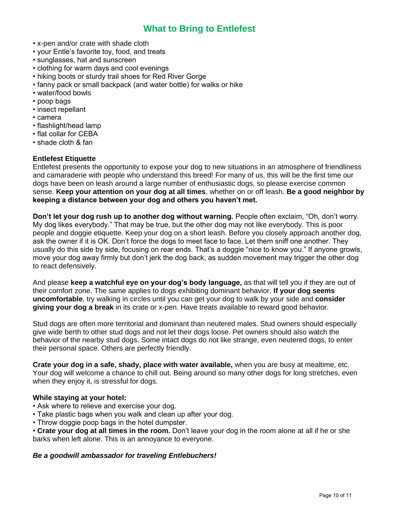# **What to Bring to Entlefest**

- x-pen and/or crate with shade cloth
- your Entle's favorite toy, food, and treats
- sunglasses, hat and sunscreen
- clothing for warm days and cool evenings
- hiking boots or sturdy trail shoes for Red River Gorge
- fanny pack or small backpack (and water bottle) for walks or hike
- water/food bowls
- poop bags
- insect repellant
- camera
- flashlight/head lamp
- flat collar for CEBA
- shade cloth & fan

### **Entlefest Etiquette**

Entlefest presents the opportunity to expose your dog to new situations in an atmosphere of friendliness and camaraderie with people who understand this breed! For many of us, this will be the first time our dogs have been on leash around a large number of enthusiastic dogs, so please exercise common sense. **Keep your attention on your dog at all times**, whether on or off leash. **Be a good neighbor by keeping a distance between your dog and others you haven't met.** 

**Don't let your dog rush up to another dog without warning.** People often exclaim, "Oh, don't worry. My dog likes everybody." That may be true, but the other dog may not like everybody. This is poor people and doggie etiquette. Keep your dog on a short leash. Before you closely approach another dog, ask the owner if it is OK. Don't force the dogs to meet face to face. Let them sniff one another. They usually do this side by side, focusing on rear ends. That's a doggie "nice to know you." If anyone growls, move your dog away firmly but don't jerk the dog back, as sudden movement may trigger the other dog to react defensively.

And please **keep a watchful eye on your dog's body language,** as that will tell you if they are out of their comfort zone. The same applies to dogs exhibiting dominant behavior. **If your dog seems uncomfortable**, try walking in circles until you can get your dog to walk by your side and **consider giving your dog a break** in its crate or x-pen. Have treats available to reward good behavior.

Stud dogs are often more territorial and dominant than neutered males. Stud owners should especially give wide berth to other stud dogs and not let their dogs loose. Pet owners should also watch the behavior of the nearby stud dogs. Some intact dogs do not like strange, even neutered dogs, to enter their personal space. Others are perfectly friendly.

**Crate your dog in a safe, shady, place with water available,** when you are busy at mealtime, etc. Your dog will welcome a chance to chill out. Being around so many other dogs for long stretches, even when they enjoy it, is stressful for dogs.

#### **While staying at your hotel:**

- Ask where to relieve and exercise your dog.
- Take plastic bags when you walk and clean up after your dog.
- Throw doggie poop bags in the hotel dumpster.

• **Crate your dog at all times in the room.** Don't leave your dog in the room alone at all if he or she barks when left alone. This is an annoyance to everyone.

### *Be a goodwill ambassador for traveling Entlebuchers!*